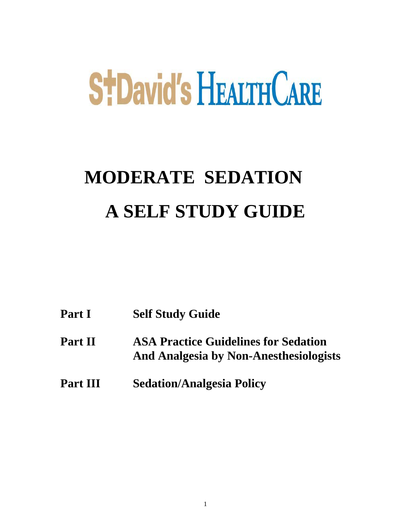# **StDavid's HEALTH CARE**

# **MODERATE SEDATION A SELF STUDY GUIDE**

| Part I          | <b>Self Study Guide</b>                                                               |
|-----------------|---------------------------------------------------------------------------------------|
| Part II         | <b>ASA Practice Guidelines for Sedation</b><br>And Analgesia by Non-Anesthesiologists |
| <b>Part III</b> | <b>Sedation/Analgesia Policy</b>                                                      |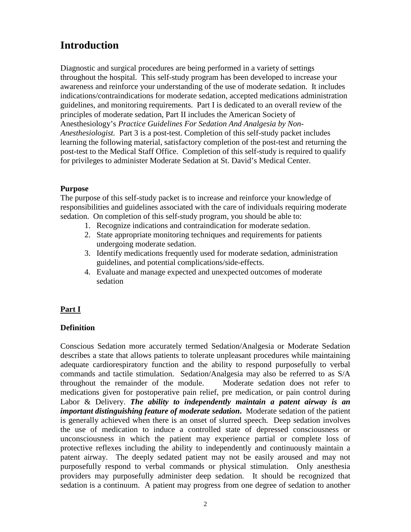# **Introduction**

Diagnostic and surgical procedures are being performed in a variety of settings throughout the hospital. This self-study program has been developed to increase your awareness and reinforce your understanding of the use of moderate sedation. It includes indications/contraindications for moderate sedation, accepted medications administration guidelines, and monitoring requirements. Part I is dedicated to an overall review of the principles of moderate sedation, Part II includes the American Society of Anesthesiology's *Practice Guidelines For Sedation And Analgesia by Non-Anesthesiologist.* Part 3 is a post-test. Completion of this self-study packet includes learning the following material, satisfactory completion of the post-test and returning the post-test to the Medical Staff Office. Completion of this self-study is required to qualify for privileges to administer Moderate Sedation at St. David's Medical Center.

#### **Purpose**

The purpose of this self-study packet is to increase and reinforce your knowledge of responsibilities and guidelines associated with the care of individuals requiring moderate sedation. On completion of this self-study program, you should be able to:

- 1. Recognize indications and contraindication for moderate sedation.
- 2. State appropriate monitoring techniques and requirements for patients undergoing moderate sedation.
- 3. Identify medications frequently used for moderate sedation, administration guidelines, and potential complications/side-effects.
- 4. Evaluate and manage expected and unexpected outcomes of moderate sedation

#### **Part I**

#### **Definition**

Conscious Sedation more accurately termed Sedation/Analgesia or Moderate Sedation describes a state that allows patients to tolerate unpleasant procedures while maintaining adequate cardiorespiratory function and the ability to respond purposefully to verbal commands and tactile stimulation. Sedation/Analgesia may also be referred to as S/A throughout the remainder of the module. Moderate sedation does not refer to medications given for postoperative pain relief, pre medication, or pain control during Labor & Delivery. *The ability to independently maintain a patent airway is an important distinguishing feature of moderate sedation***.** Moderate sedation of the patient is generally achieved when there is an onset of slurred speech. Deep sedation involves the use of medication to induce a controlled state of depressed consciousness or unconsciousness in which the patient may experience partial or complete loss of protective reflexes including the ability to independently and continuously maintain a patent airway. The deeply sedated patient may not be easily aroused and may not purposefully respond to verbal commands or physical stimulation. Only anesthesia providers may purposefully administer deep sedation. It should be recognized that sedation is a continuum. A patient may progress from one degree of sedation to another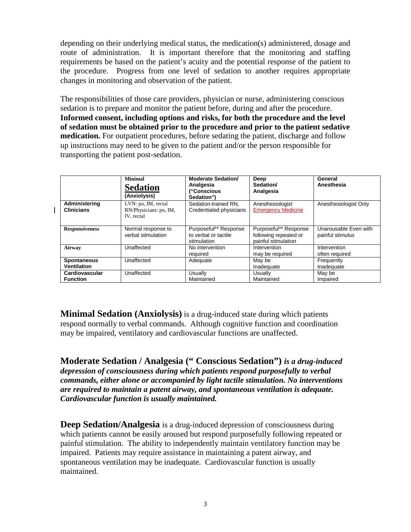depending on their underlying medical status, the medication(s) administered, dosage and route of administration. It is important therefore that the monitoring and staffing requirements be based on the patient's acuity and the potential response of the patient to the procedure. Progress from one level of sedation to another requires appropriate changes in monitoring and observation of the patient.

The responsibilities of those care providers, physician or nurse, administering conscious sedation is to prepare and monitor the patient before, during and after the procedure. **Informed consent, including options and risks, for both the procedure and the level of sedation must be obtained prior to the procedure and prior to the patient sedative medication.** For outpatient procedures, before sedating the patient, discharge and follow up instructions may need to be given to the patient and/or the person responsible for transporting the patient post-sedation.

 $\overline{\phantom{a}}$ 

|                                          | <b>Minimal</b><br><b>Sedation</b><br>(Anxiolysis)           | <b>Moderate Sedation/</b><br>Analgesia<br>("Conscious<br>Sedation") | Deep<br>Sedation/<br>Analgesia                                        | General<br>Anesthesia                     |
|------------------------------------------|-------------------------------------------------------------|---------------------------------------------------------------------|-----------------------------------------------------------------------|-------------------------------------------|
| Administering<br><b>Clinicians</b>       | LVN: po, IM, rectal<br>RN/Physicians: po, IM,<br>IV. rectal | Sedation-trained RN.<br>Credentialed physicians                     | Anesthesiologist<br><b>Emergency Medicine</b>                         | Anesthesiologist Only                     |
| <b>Responsiveness</b>                    | Normal response to<br>verbal stimulation                    | Purposeful** Response<br>to verbal or tactile<br>stimulation        | Purposeful** Response<br>following repeated or<br>painful stimulation | Unarousable Even with<br>painful stimulus |
| Airway                                   | Unaffected                                                  | No intervention<br>required                                         | Intervention<br>may be required                                       | Intervention<br>often required            |
| <b>Spontaneous</b><br><b>Ventilation</b> | Unaffected                                                  | Adequate                                                            | May be<br>Inadequate                                                  | Frequently<br>Inadequate                  |
| Cardiovascular<br><b>Function</b>        | Unaffected                                                  | Usually<br>Maintained                                               | Usually<br>Maintained                                                 | May be<br>Impaired                        |

**Minimal Sedation (Anxiolysis)** is a drug-induced state during which patients respond normally to verbal commands. Although cognitive function and coordination may be impaired, ventilatory and cardiovascular functions are unaffected.

**Moderate Sedation / Analgesia (" Conscious Sedation")** *is a drug-induced depression of consciousness during which patients respond purposefully to verbal commands, either alone or accompanied by light tactile stimulation. No interventions are required to maintain a patent airway, and spontaneous ventilation is adequate. Cardiovascular function is usually maintained.*

**Deep Sedation/Analgesia** is a drug-induced depression of consciousness during which patients cannot be easily aroused but respond purposefully following repeated or painful stimulation. The ability to independently maintain ventilatory function may be impaired. Patients may require assistance in maintaining a patent airway, and spontaneous ventilation may be inadequate. Cardiovascular function is usually maintained.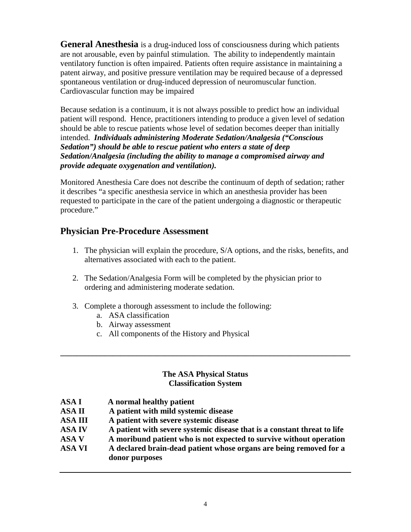**General Anesthesia** is a drug-induced loss of consciousness during which patients are not arousable, even by painful stimulation. The ability to independently maintain ventilatory function is often impaired. Patients often require assistance in maintaining a patent airway, and positive pressure ventilation may be required because of a depressed spontaneous ventilation or drug-induced depression of neuromuscular function. Cardiovascular function may be impaired

Because sedation is a continuum, it is not always possible to predict how an individual patient will respond. Hence, practitioners intending to produce a given level of sedation should be able to rescue patients whose level of sedation becomes deeper than initially intended. *Individuals administering Moderate Sedation/Analgesia ("Conscious Sedation") should be able to rescue patient who enters a state of deep Sedation/Analgesia (including the ability to manage a compromised airway and provide adequate oxygenation and ventilation).*

Monitored Anesthesia Care does not describe the continuum of depth of sedation; rather it describes "a specific anesthesia service in which an anesthesia provider has been requested to participate in the care of the patient undergoing a diagnostic or therapeutic procedure."

# **Physician Pre-Procedure Assessment**

- 1. The physician will explain the procedure, S/A options, and the risks, benefits, and alternatives associated with each to the patient.
- 2. The Sedation/Analgesia Form will be completed by the physician prior to ordering and administering moderate sedation.
- 3. Complete a thorough assessment to include the following:
	- a. ASA classification
	- b. Airway assessment
	- c. All components of the History and Physical

#### **The ASA Physical Status Classification System**

**\_\_\_\_\_\_\_\_\_\_\_\_\_\_\_\_\_\_\_\_\_\_\_\_\_\_\_\_\_\_\_\_\_\_\_\_\_\_\_\_\_\_\_\_\_\_\_\_\_\_\_\_\_\_\_\_\_\_\_\_\_\_\_\_\_\_\_\_\_\_\_\_**

**ASA I A normal healthy patient ASA II A patient with mild systemic disease ASA III A patient with severe systemic disease ASA IV A patient with severe systemic disease that is a constant threat to life ASA V A moribund patient who is not expected to survive without operation ASA VI A declared brain-dead patient whose organs are being removed for a donor purposes**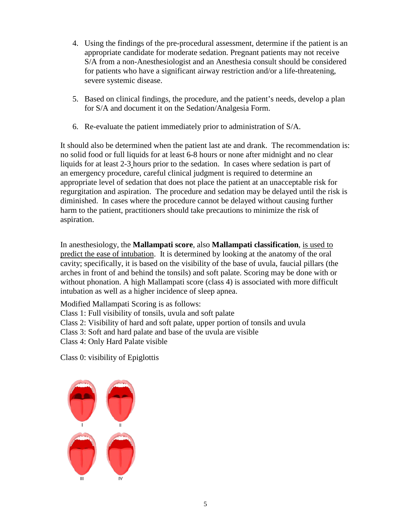- 4. Using the findings of the pre-procedural assessment, determine if the patient is an appropriate candidate for moderate sedation. Pregnant patients may not receive S/A from a non-Anesthesiologist and an Anesthesia consult should be considered for patients who have a significant airway restriction and/or a life-threatening, severe systemic disease.
- 5. Based on clinical findings, the procedure, and the patient's needs, develop a plan for S/A and document it on the Sedation/Analgesia Form.
- 6. Re-evaluate the patient immediately prior to administration of S/A.

It should also be determined when the patient last ate and drank. The recommendation is: no solid food or full liquids for at least 6-8 hours or none after midnight and no clear liquids for at least 2-3 hours prior to the sedation. In cases where sedation is part of an emergency procedure, careful clinical judgment is required to determine an appropriate level of sedation that does not place the patient at an unacceptable risk for regurgitation and aspiration. The procedure and sedation may be delayed until the risk is diminished. In cases where the procedure cannot be delayed without causing further harm to the patient, practitioners should take precautions to minimize the risk of aspiration.

In anesthesiology, the **Mallampati score**, also **Mallampati classification**, is used to predict the ease of intubation. It is determined by looking at the anatomy of the oral cavity; specifically, it is based on the visibility of the base of uvula, faucial pillars (the arches in front of and behind the tonsils) and soft palate. Scoring may be done with or without phonation. A high Mallampati score (class 4) is associated with more difficult intubation as well as a higher incidence of sleep apnea.

Modified Mallampati Scoring is as follows:

Class 1: Full visibility of tonsils, uvula and soft palate

Class 2: Visibility of hard and soft palate, upper portion of tonsils and uvula

Class 3: Soft and hard palate and base of the uvula are visible

Class 4: Only Hard Palate visible

Class 0: visibility of Epiglottis

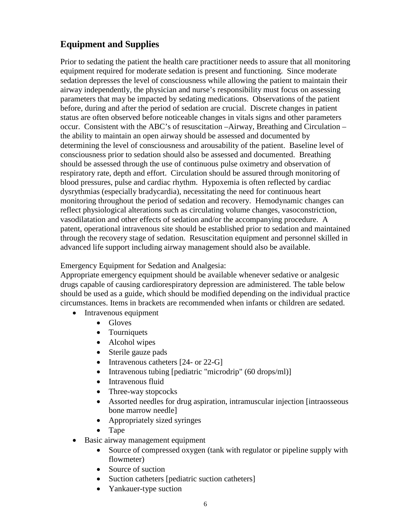# **Equipment and Supplies**

Prior to sedating the patient the health care practitioner needs to assure that all monitoring equipment required for moderate sedation is present and functioning. Since moderate sedation depresses the level of consciousness while allowing the patient to maintain their airway independently, the physician and nurse's responsibility must focus on assessing parameters that may be impacted by sedating medications. Observations of the patient before, during and after the period of sedation are crucial. Discrete changes in patient status are often observed before noticeable changes in vitals signs and other parameters occur. Consistent with the ABC's of resuscitation –Airway, Breathing and Circulation – the ability to maintain an open airway should be assessed and documented by determining the level of consciousness and arousability of the patient. Baseline level of consciousness prior to sedation should also be assessed and documented. Breathing should be assessed through the use of continuous pulse oximetry and observation of respiratory rate, depth and effort. Circulation should be assured through monitoring of blood pressures, pulse and cardiac rhythm. Hypoxemia is often reflected by cardiac dysrythmias (especially bradycardia), necessitating the need for continuous heart monitoring throughout the period of sedation and recovery. Hemodynamic changes can reflect physiological alterations such as circulating volume changes, vasoconstriction, vasodilatation and other effects of sedation and/or the accompanying procedure. A patent, operational intravenous site should be established prior to sedation and maintained through the recovery stage of sedation. Resuscitation equipment and personnel skilled in advanced life support including airway management should also be available.

Emergency Equipment for Sedation and Analgesia:

Appropriate emergency equipment should be available whenever sedative or analgesic drugs capable of causing cardiorespiratory depression are administered. The table below should be used as a guide, which should be modified depending on the individual practice circumstances. Items in brackets are recommended when infants or children are sedated.

- Intravenous equipment
	- Gloves
	- Tourniquets
	- Alcohol wipes
	- Sterile gauze pads
	- Intravenous catheters [24- or 22-G]
	- Intravenous tubing [pediatric "microdrip" (60 drops/ml)]
	- Intravenous fluid
	- Three-way stopcocks
	- Assorted needles for drug aspiration, intramuscular injection [intraosseous] bone marrow needle]
	- Appropriately sized syringes
	- Tape
	- Basic airway management equipment
		- Source of compressed oxygen (tank with regulator or pipeline supply with flowmeter)
		- Source of suction
		- Suction catheters [pediatric suction catheters]
		- Yankauer-type suction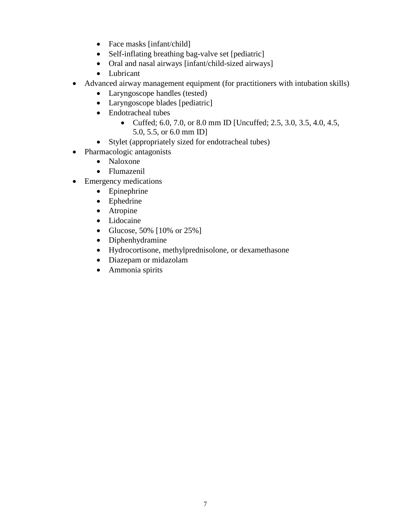- Face masks [infant/child]
- Self-inflating breathing bag-valve set [pediatric]
- Oral and nasal airways [infant/child-sized airways]
- Lubricant
- Advanced airway management equipment (for practitioners with intubation skills)
	- Laryngoscope handles (tested)
	- Laryngoscope blades [pediatric]
	- Endotracheal tubes
		- Cuffed; 6.0, 7.0, or 8.0 mm ID [Uncuffed; 2.5, 3.0, 3.5, 4.0, 4.5, 5.0, 5.5, or 6.0 mm ID]
	- Stylet (appropriately sized for endotracheal tubes)
- Pharmacologic antagonists
	- Naloxone
	- Flumazenil
- Emergency medications
	- Epinephrine
	- Ephedrine
	- Atropine
	- Lidocaine
	- Glucose, 50% [10% or 25%]
	- Diphenhydramine
	- Hydrocortisone, methylprednisolone, or dexamethasone
	- Diazepam or midazolam
	- Ammonia spirits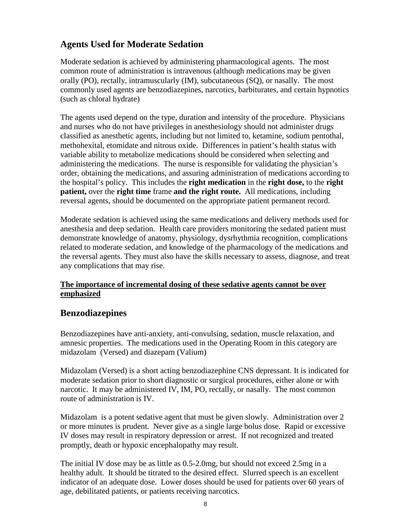# **Agents Used for Moderate Sedation**

Moderate sedation is achieved by administering pharmacological agents. The most common route of administration is intravenous (although medications may be given orally (PO), rectally, intramuscularly (IM), subcutaneous (SQ), or nasally. The most commonly used agents are benzodiazepines, narcotics, barbiturates, and certain hypnotics (such as chloral hydrate)

The agents used depend on the type, duration and intensity of the procedure. Physicians and nurses who do not have privileges in anesthesiology should not administer drugs classified as anesthetic agents, including but not limited to, ketamine, sodium pentothal, methohexital, etomidate and nitrous oxide. Differences in patient's health status with variable ability to metabolize medications should be considered when selecting and administering the medications. The nurse is responsible for validating the physician's order, obtaining the medications, and assuring administration of medications according to the hospital's policy. This includes the **right medication** in the **right dose,** to the **right patient,** over the **right time** frame **and the right route.** All medications, including reversal agents, should be documented on the appropriate patient permanent record.

Moderate sedation is achieved using the same medications and delivery methods used for anesthesia and deep sedation. Health care providers monitoring the sedated patient must demonstrate knowledge of anatomy, physiology, dysrhythmia recognition, complications related to moderate sedation, and knowledge of the pharmacology of the medications and the reversal agents. They must also have the skills necessary to assess, diagnose, and treat any complications that may rise.

#### **The importance of incremental dosing of these sedative agents cannot be over emphasized**

# **Benzodiazepines**

Benzodiazepines have anti-anxiety, anti-convulsing, sedation, muscle relaxation, and amnesic properties. The medications used in the Operating Room in this category are midazolam (Versed) and diazepam (Valium)

Midazolam (Versed) is a short acting benzodiazephine CNS depressant. It is indicated for moderate sedation prior to short diagnostic or surgical procedures, either alone or with narcotic. It may be administered IV, IM, PO, rectally, or nasally. The most common route of administration is IV.

Midazolam is a potent sedative agent that must be given slowly. Administration over 2 or more minutes is prudent. Never give as a single large bolus dose. Rapid or excessive IV doses may result in respiratory depression or arrest. If not recognized and treated promptly, death or hypoxic encephalopathy may result.

The initial IV dose may be as little as 0.5-2.0mg, but should not exceed 2.5mg in a healthy adult. It should be titrated to the desired effect. Slurred speech is an excellent indicator of an adequate dose. Lower doses should be used for patients over 60 years of age, debilitated patients, or patients receiving narcotics.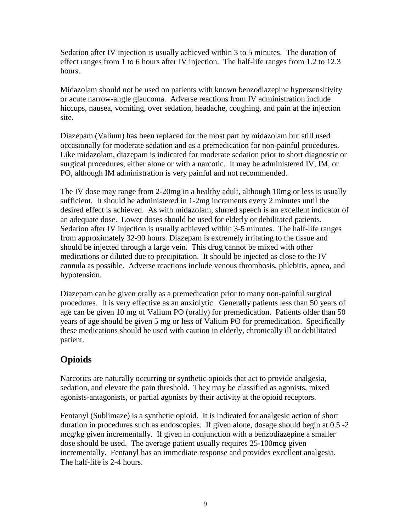Sedation after IV injection is usually achieved within 3 to 5 minutes. The duration of effect ranges from 1 to 6 hours after IV injection. The half-life ranges from 1.2 to 12.3 hours.

Midazolam should not be used on patients with known benzodiazepine hypersensitivity or acute narrow-angle glaucoma. Adverse reactions from IV administration include hiccups, nausea, vomiting, over sedation, headache, coughing, and pain at the injection site.

Diazepam (Valium) has been replaced for the most part by midazolam but still used occasionally for moderate sedation and as a premedication for non-painful procedures. Like midazolam, diazepam is indicated for moderate sedation prior to short diagnostic or surgical procedures, either alone or with a narcotic. It may be administered IV, IM, or PO, although IM administration is very painful and not recommended.

The IV dose may range from 2-20mg in a healthy adult, although 10mg or less is usually sufficient. It should be administered in 1-2mg increments every 2 minutes until the desired effect is achieved. As with midazolam, slurred speech is an excellent indicator of an adequate dose. Lower doses should be used for elderly or debilitated patients. Sedation after IV injection is usually achieved within 3-5 minutes. The half-life ranges from approximately 32-90 hours. Diazepam is extremely irritating to the tissue and should be injected through a large vein. This drug cannot be mixed with other medications or diluted due to precipitation. It should be injected as close to the IV cannula as possible. Adverse reactions include venous thrombosis, phlebitis, apnea, and hypotension.

Diazepam can be given orally as a premedication prior to many non-painful surgical procedures. It is very effective as an anxiolytic. Generally patients less than 50 years of age can be given 10 mg of Valium PO (orally) for premedication. Patients older than 50 years of age should be given 5 mg or less of Valium PO for premedication. Specifically these medications should be used with caution in elderly, chronically ill or debilitated patient.

# **Opioids**

Narcotics are naturally occurring or synthetic opioids that act to provide analgesia, sedation, and elevate the pain threshold. They may be classified as agonists, mixed agonists-antagonists, or partial agonists by their activity at the opioid receptors.

Fentanyl (Sublimaze) is a synthetic opioid. It is indicated for analgesic action of short duration in procedures such as endoscopies. If given alone, dosage should begin at 0.5 -2 mcg/kg given incrementally. If given in conjunction with a benzodiazepine a smaller dose should be used. The average patient usually requires 25-100mcg given incrementally. Fentanyl has an immediate response and provides excellent analgesia. The half-life is 2-4 hours.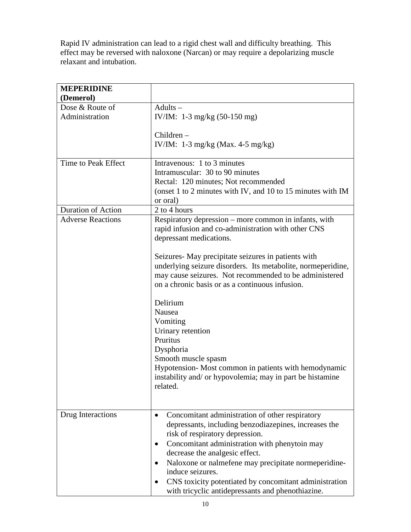Rapid IV administration can lead to a rigid chest wall and difficulty breathing. This effect may be reversed with naloxone (Narcan) or may require a depolarizing muscle relaxant and intubation.

| <b>MEPERIDINE</b>         |                                                              |
|---------------------------|--------------------------------------------------------------|
| (Demerol)                 |                                                              |
| Dose & Route of           | $Adults -$                                                   |
| Administration            | IV/IM: $1-3$ mg/kg (50-150 mg)                               |
|                           | $Children -$                                                 |
|                           |                                                              |
|                           | IV/IM: $1-3$ mg/kg (Max. 4-5 mg/kg)                          |
| Time to Peak Effect       | Intravenous: 1 to 3 minutes                                  |
|                           | Intramuscular: 30 to 90 minutes                              |
|                           | Rectal: 120 minutes; Not recommended                         |
|                           | (onset 1 to 2 minutes with IV, and 10 to 15 minutes with IM  |
|                           | or oral)                                                     |
| <b>Duration of Action</b> | 2 to 4 hours                                                 |
| <b>Adverse Reactions</b>  | Respiratory depression – more common in infants, with        |
|                           | rapid infusion and co-administration with other CNS          |
|                           | depressant medications.                                      |
|                           | Seizures- May precipitate seizures in patients with          |
|                           | underlying seizure disorders. Its metabolite, normeperidine, |
|                           | may cause seizures. Not recommended to be administered       |
|                           | on a chronic basis or as a continuous infusion.              |
|                           |                                                              |
|                           | Delirium                                                     |
|                           | Nausea                                                       |
|                           | Vomiting                                                     |
|                           | Urinary retention                                            |
|                           | Pruritus                                                     |
|                           | Dysphoria                                                    |
|                           | Smooth muscle spasm                                          |
|                           | Hypotension-Most common in patients with hemodynamic         |
|                           | instability and/ or hypovolemia; may in part be histamine    |
|                           | related.                                                     |
|                           |                                                              |
|                           |                                                              |
| Drug Interactions         | Concomitant administration of other respiratory              |
|                           | depressants, including benzodiazepines, increases the        |
|                           | risk of respiratory depression.                              |
|                           | Concomitant administration with phenytoin may<br>٠           |
|                           | decrease the analgesic effect.                               |
|                           | Naloxone or nalmefene may precipitate normeperidine-         |
|                           | induce seizures.                                             |
|                           | CNS toxicity potentiated by concomitant administration       |
|                           | with tricyclic antidepressants and phenothiazine.            |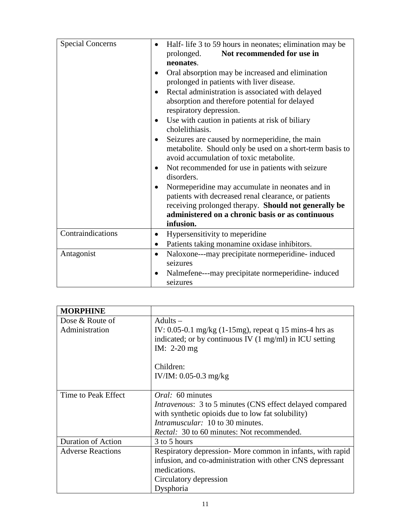| <b>Special Concerns</b> | Half-life 3 to 59 hours in neonates; elimination may be<br>Not recommended for use in<br>prolonged.<br>neonates.<br>Oral absorption may be increased and elimination<br>$\bullet$<br>prolonged in patients with liver disease.<br>Rectal administration is associated with delayed<br>$\bullet$<br>absorption and therefore potential for delayed<br>respiratory depression.<br>Use with caution in patients at risk of biliary<br>$\bullet$<br>cholelithiasis.<br>Seizures are caused by normeperidine, the main<br>٠ |
|-------------------------|------------------------------------------------------------------------------------------------------------------------------------------------------------------------------------------------------------------------------------------------------------------------------------------------------------------------------------------------------------------------------------------------------------------------------------------------------------------------------------------------------------------------|
|                         | metabolite. Should only be used on a short-term basis to<br>avoid accumulation of toxic metabolite.<br>Not recommended for use in patients with seizure<br>٠<br>disorders.<br>Normeperidine may accumulate in neonates and in<br>patients with decreased renal clearance, or patients<br>receiving prolonged therapy. Should not generally be<br>administered on a chronic basis or as continuous<br>infusion.                                                                                                         |
| Contraindications       | Hypersensitivity to meperidine<br>$\bullet$<br>Patients taking monamine oxidase inhibitors.<br>$\bullet$                                                                                                                                                                                                                                                                                                                                                                                                               |
| Antagonist              | Naloxone---may precipitate normeperidine- induced<br>$\bullet$<br>seizures<br>Nalmefene---may precipitate normeperidine- induced<br>$\bullet$<br>seizures                                                                                                                                                                                                                                                                                                                                                              |

| <b>MORPHINE</b>           |                                                                                                                                              |
|---------------------------|----------------------------------------------------------------------------------------------------------------------------------------------|
| Dose & Route of           | $A$ dults $-$                                                                                                                                |
| Administration            | IV: 0.05-0.1 mg/kg (1-15mg), repeat q 15 mins-4 hrs as<br>indicated; or by continuous IV $(1 \text{ mg/ml})$ in ICU setting<br>IM: $2-20$ mg |
|                           | Children:                                                                                                                                    |
|                           | IV/IM: $0.05 - 0.3$ mg/kg                                                                                                                    |
| Time to Peak Effect       | <i>Oral:</i> 60 minutes                                                                                                                      |
|                           | <i>Intravenous:</i> 3 to 5 minutes (CNS effect delayed compared                                                                              |
|                           | with synthetic opioids due to low fat solubility)                                                                                            |
|                           | <i>Intramuscular:</i> 10 to 30 minutes.                                                                                                      |
|                           | <i>Rectal:</i> 30 to 60 minutes: Not recommended.                                                                                            |
| <b>Duration of Action</b> | 3 to 5 hours                                                                                                                                 |
| <b>Adverse Reactions</b>  | Respiratory depression- More common in infants, with rapid                                                                                   |
|                           | infusion, and co-administration with other CNS depressant                                                                                    |
|                           | medications.                                                                                                                                 |
|                           | Circulatory depression                                                                                                                       |
|                           | Dysphoria                                                                                                                                    |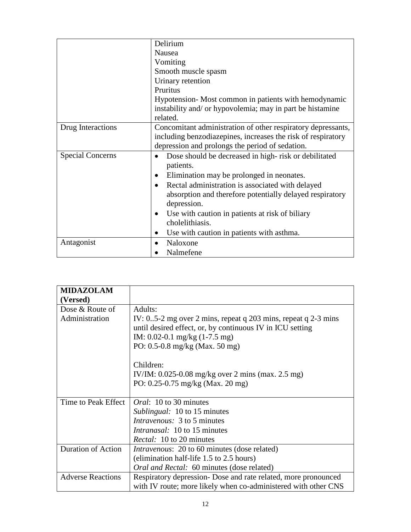|                         | Delirium                                                     |
|-------------------------|--------------------------------------------------------------|
|                         | Nausea                                                       |
|                         | Vomiting                                                     |
|                         | Smooth muscle spasm                                          |
|                         | Urinary retention                                            |
|                         | Pruritus                                                     |
|                         | Hypotension-Most common in patients with hemodynamic         |
|                         | instability and/ or hypovolemia; may in part be histamine    |
|                         | related.                                                     |
| Drug Interactions       | Concomitant administration of other respiratory depressants, |
|                         | including benzodiazepines, increases the risk of respiratory |
|                         | depression and prolongs the period of sedation.              |
| <b>Special Concerns</b> | Dose should be decreased in high-risk or debilitated         |
|                         | patients.                                                    |
|                         | Elimination may be prolonged in neonates.                    |
|                         | Rectal administration is associated with delayed             |
|                         | absorption and therefore potentially delayed respiratory     |
|                         | depression.                                                  |
|                         | Use with caution in patients at risk of biliary              |
|                         | cholelithiasis.                                              |
|                         | Use with caution in patients with asthma.<br>$\bullet$       |
| Antagonist              | Naloxone                                                     |
|                         | Nalmefene                                                    |

| <b>MIDAZOLAM</b>          |                                                                  |
|---------------------------|------------------------------------------------------------------|
| (Versed)                  |                                                                  |
| Dose & Route of           | Adults:                                                          |
| Administration            | IV: $0.5-2$ mg over 2 mins, repeat q 203 mins, repeat q 2-3 mins |
|                           | until desired effect, or, by continuous IV in ICU setting        |
|                           | IM: $0.02-0.1$ mg/kg $(1-7.5$ mg)                                |
|                           | PO: $0.5 - 0.8$ mg/kg (Max. 50 mg)                               |
|                           |                                                                  |
|                           | Children:                                                        |
|                           | IV/IM: $0.025 - 0.08$ mg/kg over 2 mins (max. 2.5 mg)            |
|                           | PO: $0.25 - 0.75$ mg/kg (Max. 20 mg)                             |
|                           |                                                                  |
| Time to Peak Effect       | <i>Oral</i> : 10 to 30 minutes                                   |
|                           | <i>Sublingual:</i> 10 to 15 minutes                              |
|                           | <i>Intravenous:</i> 3 to 5 minutes                               |
|                           | <i>Intranasal:</i> 10 to 15 minutes                              |
|                           | <i>Rectal:</i> 10 to 20 minutes                                  |
| <b>Duration of Action</b> | <i>Intravenous:</i> 20 to 60 minutes (dose related)              |
|                           | (elimination half-life 1.5 to 2.5 hours)                         |
|                           | Oral and Rectal: 60 minutes (dose related)                       |
| <b>Adverse Reactions</b>  | Respiratory depression- Dose and rate related, more pronounced   |
|                           | with IV route; more likely when co-administered with other CNS   |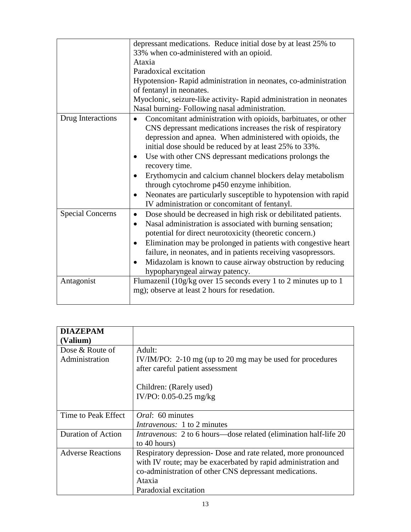|                         | depressant medications. Reduce initial dose by at least 25% to                                                                                                                                                                                                                                                                                                                                                                                                         |
|-------------------------|------------------------------------------------------------------------------------------------------------------------------------------------------------------------------------------------------------------------------------------------------------------------------------------------------------------------------------------------------------------------------------------------------------------------------------------------------------------------|
|                         | 33% when co-administered with an opioid.                                                                                                                                                                                                                                                                                                                                                                                                                               |
|                         | Ataxia                                                                                                                                                                                                                                                                                                                                                                                                                                                                 |
|                         | Paradoxical excitation                                                                                                                                                                                                                                                                                                                                                                                                                                                 |
|                         | Hypotension-Rapid administration in neonates, co-administration<br>of fentanyl in neonates.                                                                                                                                                                                                                                                                                                                                                                            |
|                         | Myoclonic, seizure-like activity- Rapid administration in neonates                                                                                                                                                                                                                                                                                                                                                                                                     |
|                         | Nasal burning- Following nasal administration.                                                                                                                                                                                                                                                                                                                                                                                                                         |
| Drug Interactions       | Concomitant administration with opioids, barbituates, or other<br>$\bullet$<br>CNS depressant medications increases the risk of respiratory<br>depression and apnea. When administered with opioids, the<br>initial dose should be reduced by at least 25% to 33%.<br>Use with other CNS depressant medications prolongs the<br>$\bullet$<br>recovery time.                                                                                                            |
|                         | Erythomycin and calcium channel blockers delay metabolism<br>through cytochrome p450 enzyme inhibition.<br>Neonates are particularly susceptible to hypotension with rapid<br>$\bullet$<br>IV administration or concomitant of fentanyl.                                                                                                                                                                                                                               |
| <b>Special Concerns</b> | Dose should be decreased in high risk or debilitated patients.<br>$\bullet$<br>Nasal administration is associated with burning sensation;<br>$\bullet$<br>potential for direct neurotoxicity (theoretic concern.)<br>Elimination may be prolonged in patients with congestive heart<br>٠<br>failure, in neonates, and in patients receiving vasopressors.<br>Midazolam is known to cause airway obstruction by reducing<br>$\bullet$<br>hypopharyngeal airway patency. |
| Antagonist              | Flumazenil (10g/kg over 15 seconds every 1 to 2 minutes up to 1<br>mg); observe at least 2 hours for resedation.                                                                                                                                                                                                                                                                                                                                                       |

| <b>DIAZEPAM</b>          |                                                                           |
|--------------------------|---------------------------------------------------------------------------|
| (Valium)                 |                                                                           |
| Dose & Route of          | Adult:                                                                    |
| Administration           | IV/IM/PO: $2-10$ mg (up to 20 mg may be used for procedures               |
|                          | after careful patient assessment                                          |
|                          | Children: (Rarely used)                                                   |
|                          | IV/PO: $0.05 - 0.25$ mg/kg                                                |
|                          |                                                                           |
| Time to Peak Effect      | <i>Oral</i> : 60 minutes                                                  |
|                          | <i>Intravenous:</i> 1 to 2 minutes                                        |
|                          |                                                                           |
| Duration of Action       | <i>Intravenous</i> : 2 to 6 hours—dose related (elimination half-life 20) |
|                          | to 40 hours)                                                              |
| <b>Adverse Reactions</b> | Respiratory depression- Dose and rate related, more pronounced            |
|                          | with IV route; may be exacerbated by rapid administration and             |
|                          | co-administration of other CNS depressant medications.                    |
|                          | Ataxia                                                                    |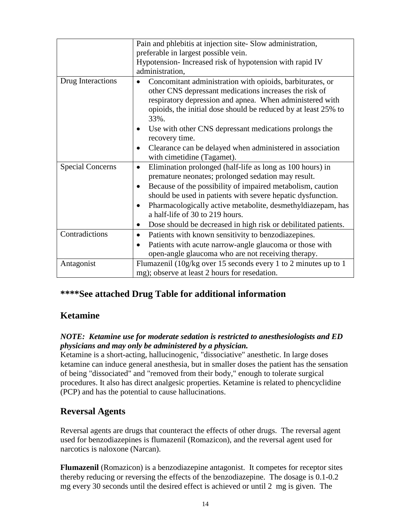|                         | Pain and phlebitis at injection site-Slow administration,                                                                                                                                                                                                                                                                                                                                                                     |
|-------------------------|-------------------------------------------------------------------------------------------------------------------------------------------------------------------------------------------------------------------------------------------------------------------------------------------------------------------------------------------------------------------------------------------------------------------------------|
|                         | preferable in largest possible vein.                                                                                                                                                                                                                                                                                                                                                                                          |
|                         | Hypotension-Increased risk of hypotension with rapid IV                                                                                                                                                                                                                                                                                                                                                                       |
|                         | administration,                                                                                                                                                                                                                                                                                                                                                                                                               |
| Drug Interactions       | Concomitant administration with opioids, barbiturates, or<br>other CNS depressant medications increases the risk of<br>respiratory depression and apnea. When administered with<br>opioids, the initial dose should be reduced by at least 25% to<br>33%.<br>Use with other CNS depressant medications prolongs the<br>recovery time.                                                                                         |
|                         | Clearance can be delayed when administered in association<br>with cimetidine (Tagamet).                                                                                                                                                                                                                                                                                                                                       |
| <b>Special Concerns</b> | Elimination prolonged (half-life as long as 100 hours) in<br>$\bullet$<br>premature neonates; prolonged sedation may result.<br>Because of the possibility of impaired metabolism, caution<br>should be used in patients with severe hepatic dysfunction.<br>Pharmacologically active metabolite, desmethyldiazepam, has<br>a half-life of 30 to 219 hours.<br>Dose should be decreased in high risk or debilitated patients. |
| Contradictions          | Patients with known sensitivity to benzodiazepines.<br>$\bullet$<br>Patients with acute narrow-angle glaucoma or those with<br>$\bullet$<br>open-angle glaucoma who are not receiving therapy.                                                                                                                                                                                                                                |
| Antagonist              | Flumazenil (10g/kg over 15 seconds every 1 to 2 minutes up to 1<br>mg); observe at least 2 hours for resedation.                                                                                                                                                                                                                                                                                                              |

# **\*\*\*\*See attached Drug Table for additional information**

# **Ketamine**

#### *NOTE: Ketamine use for moderate sedation is restricted to anesthesiologists and ED physicians and may only be administered by a physician.*

Ketamine is a short-acting, hallucinogenic, "dissociative" anesthetic. In large doses ketamine can induce general anesthesia, but in smaller doses the patient has the sensation of being "dissociated" and "removed from their body," enough to tolerate surgical procedures. It also has direct analgesic properties. Ketamine is related to phencyclidine (PCP) and has the potential to cause hallucinations.

# **Reversal Agents**

Reversal agents are drugs that counteract the effects of other drugs. The reversal agent used for benzodiazepines is flumazenil (Romazicon), and the reversal agent used for narcotics is naloxone (Narcan).

**Flumazenil** (Romazicon) is a benzodiazepine antagonist. It competes for receptor sites thereby reducing or reversing the effects of the benzodiazepine. The dosage is 0.1-0.2 mg every 30 seconds until the desired effect is achieved or until 2 mg is given. The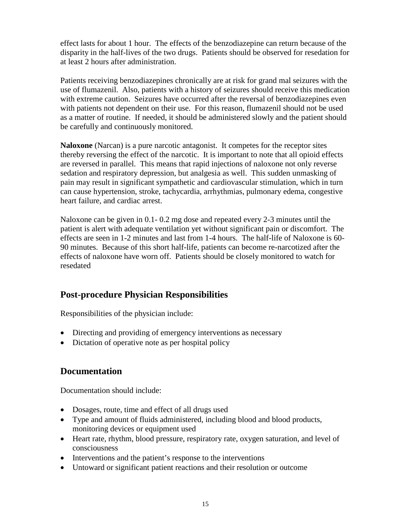effect lasts for about 1 hour. The effects of the benzodiazepine can return because of the disparity in the half-lives of the two drugs. Patients should be observed for resedation for at least 2 hours after administration.

Patients receiving benzodiazepines chronically are at risk for grand mal seizures with the use of flumazenil. Also, patients with a history of seizures should receive this medication with extreme caution. Seizures have occurred after the reversal of benzodiazepines even with patients not dependent on their use. For this reason, flumazenil should not be used as a matter of routine. If needed, it should be administered slowly and the patient should be carefully and continuously monitored.

**Naloxone** (Narcan) is a pure narcotic antagonist. It competes for the receptor sites thereby reversing the effect of the narcotic. It is important to note that all opioid effects are reversed in parallel. This means that rapid injections of naloxone not only reverse sedation and respiratory depression, but analgesia as well. This sudden unmasking of pain may result in significant sympathetic and cardiovascular stimulation, which in turn can cause hypertension, stroke, tachycardia, arrhythmias, pulmonary edema, congestive heart failure, and cardiac arrest.

Naloxone can be given in 0.1- 0.2 mg dose and repeated every 2-3 minutes until the patient is alert with adequate ventilation yet without significant pain or discomfort. The effects are seen in 1-2 minutes and last from 1-4 hours. The half-life of Naloxone is 60- 90 minutes. Because of this short half-life, patients can become re-narcotized after the effects of naloxone have worn off. Patients should be closely monitored to watch for resedated

# **Post-procedure Physician Responsibilities**

Responsibilities of the physician include:

- Directing and providing of emergency interventions as necessary
- Dictation of operative note as per hospital policy

# **Documentation**

Documentation should include:

- Dosages, route, time and effect of all drugs used
- Type and amount of fluids administered, including blood and blood products, monitoring devices or equipment used
- Heart rate, rhythm, blood pressure, respiratory rate, oxygen saturation, and level of consciousness
- Interventions and the patient's response to the interventions
- Untoward or significant patient reactions and their resolution or outcome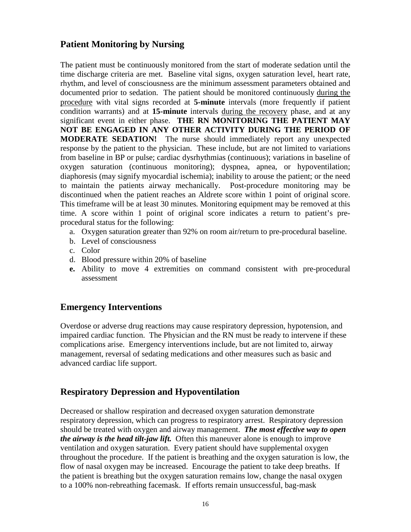# **Patient Monitoring by Nursing**

The patient must be continuously monitored from the start of moderate sedation until the time discharge criteria are met. Baseline vital signs, oxygen saturation level, heart rate, rhythm, and level of consciousness are the minimum assessment parameters obtained and documented prior to sedation. The patient should be monitored continuously during the procedure with vital signs recorded at **5-minute** intervals (more frequently if patient condition warrants) and at **15-minute** intervals during the recovery phase, and at any significant event in either phase. **THE RN MONITORING THE PATIENT MAY NOT BE ENGAGED IN ANY OTHER ACTIVITY DURING THE PERIOD OF MODERATE SEDATION!** The nurse should immediately report any unexpected response by the patient to the physician. These include, but are not limited to variations from baseline in BP or pulse; cardiac dysrhythmias (continuous); variations in baseline of oxygen saturation (continuous monitoring); dyspnea, apnea, or hypoventilation; diaphoresis (may signify myocardial ischemia); inability to arouse the patient; or the need to maintain the patients airway mechanically. Post-procedure monitoring may be discontinued when the patient reaches an Aldrete score within 1 point of original score. This timeframe will be at least 30 minutes*.* Monitoring equipment may be removed at this time. A score within 1 point of original score indicates a return to patient's preprocedural status for the following:

- a. Oxygen saturation greater than 92% on room air/return to pre-procedural baseline.
- b. Level of consciousness
- c. Color
- d. Blood pressure within 20% of baseline
- **e.** Ability to move 4 extremities on command consistent with pre-procedural assessment

# **Emergency Interventions**

Overdose or adverse drug reactions may cause respiratory depression, hypotension, and impaired cardiac function. The Physician and the RN must be ready to intervene if these complications arise. Emergency interventions include, but are not limited to, airway management, reversal of sedating medications and other measures such as basic and advanced cardiac life support.

# **Respiratory Depression and Hypoventilation**

Decreased or shallow respiration and decreased oxygen saturation demonstrate respiratory depression, which can progress to respiratory arrest. Respiratory depression should be treated with oxygen and airway management. *The most effective way to open the airway is the head tilt-jaw lift.* Often this maneuver alone is enough to improve ventilation and oxygen saturation. Every patient should have supplemental oxygen throughout the procedure. If the patient is breathing and the oxygen saturation is low, the flow of nasal oxygen may be increased. Encourage the patient to take deep breaths. If the patient is breathing but the oxygen saturation remains low, change the nasal oxygen to a 100% non-rebreathing facemask. If efforts remain unsuccessful, bag-mask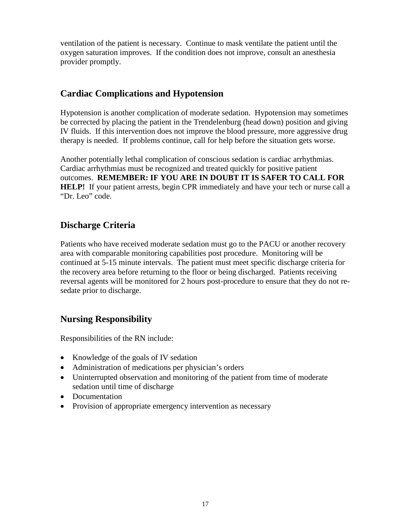ventilation of the patient is necessary. Continue to mask ventilate the patient until the oxygen saturation improves. If the condition does not improve, consult an anesthesia provider promptly.

# **Cardiac Complications and Hypotension**

Hypotension is another complication of moderate sedation. Hypotension may sometimes be corrected by placing the patient in the Trendelenburg (head down) position and giving IV fluids. If this intervention does not improve the blood pressure, more aggressive drug therapy is needed. If problems continue, call for help before the situation gets worse.

Another potentially lethal complication of conscious sedation is cardiac arrhythmias. Cardiac arrhythmias must be recognized and treated quickly for positive patient outcomes. **REMEMBER: IF YOU ARE IN DOUBT IT IS SAFER TO CALL FOR HELP!** If your patient arrests, begin CPR immediately and have your tech or nurse call a "Dr. Leo" code.

# **Discharge Criteria**

Patients who have received moderate sedation must go to the PACU or another recovery area with comparable monitoring capabilities post procedure. Monitoring will be continued at 5-15 minute intervals. The patient must meet specific discharge criteria for the recovery area before returning to the floor or being discharged. Patients receiving reversal agents will be monitored for 2 hours post-procedure to ensure that they do not resedate prior to discharge.

# **Nursing Responsibility**

Responsibilities of the RN include:

- Knowledge of the goals of IV sedation
- Administration of medications per physician's orders
- Uninterrupted observation and monitoring of the patient from time of moderate sedation until time of discharge
- Documentation
- Provision of appropriate emergency intervention as necessary